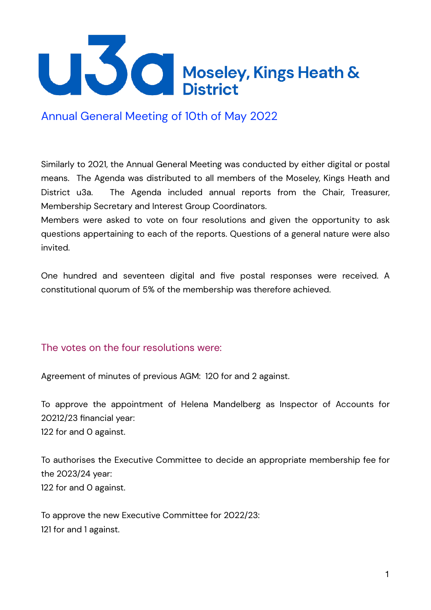

Annual General Meeting of 10th of May 2022

Similarly to 2021, the Annual General Meeting was conducted by either digital or postal means. The Agenda was distributed to all members of the Moseley, Kings Heath and District u3a. The Agenda included annual reports from the Chair, Treasurer, Membership Secretary and Interest Group Coordinators.

Members were asked to vote on four resolutions and given the opportunity to ask questions appertaining to each of the reports. Questions of a general nature were also invited.

One hundred and seventeen digital and five postal responses were received. A constitutional quorum of 5% of the membership was therefore achieved.

## The votes on the four resolutions were:

Agreement of minutes of previous AGM: 120 for and 2 against.

To approve the appointment of Helena Mandelberg as Inspector of Accounts for 20212/23 financial year: 122 for and 0 against.

To authorises the Executive Committee to decide an appropriate membership fee for the 2023/24 year: 122 for and 0 against.

To approve the new Executive Committee for 2022/23: 121 for and 1 against.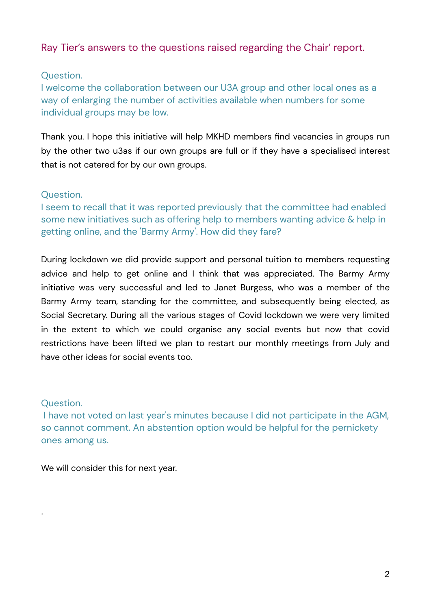## Ray Tier's answers to the questions raised regarding the Chair' report.

### Question.

I welcome the collaboration between our U3A group and other local ones as a way of enlarging the number of activities available when numbers for some individual groups may be low.

Thank you. I hope this initiative will help MKHD members find vacancies in groups run by the other two u3as if our own groups are full or if they have a specialised interest that is not catered for by our own groups.

## Question.

I seem to recall that it was reported previously that the committee had enabled some new initiatives such as offering help to members wanting advice & help in getting online, and the 'Barmy Army'. How did they fare?

During lockdown we did provide support and personal tuition to members requesting advice and help to get online and I think that was appreciated. The Barmy Army initiative was very successful and led to Janet Burgess, who was a member of the Barmy Army team, standing for the committee, and subsequently being elected, as Social Secretary. During all the various stages of Covid lockdown we were very limited in the extent to which we could organise any social events but now that covid restrictions have been lifted we plan to restart our monthly meetings from July and have other ideas for social events too.

## Question.

.

 I have not voted on last year's minutes because I did not participate in the AGM, so cannot comment. An abstention option would be helpful for the pernickety ones among us.

We will consider this for next year.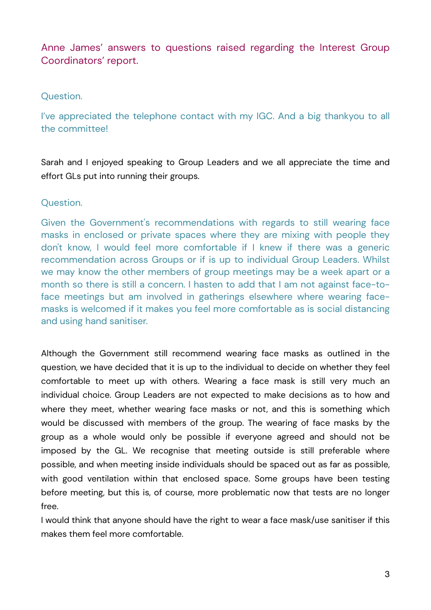# Anne James' answers to questions raised regarding the Interest Group Coordinators' report.

## Question.

I've appreciated the telephone contact with my IGC. And a big thankyou to all the committee!

Sarah and I enjoyed speaking to Group Leaders and we all appreciate the time and effort GLs put into running their groups.

## Question.

Given the Government's recommendations with regards to still wearing face masks in enclosed or private spaces where they are mixing with people they don't know, I would feel more comfortable if I knew if there was a generic recommendation across Groups or if is up to individual Group Leaders. Whilst we may know the other members of group meetings may be a week apart or a month so there is still a concern. I hasten to add that I am not against face-toface meetings but am involved in gatherings elsewhere where wearing facemasks is welcomed if it makes you feel more comfortable as is social distancing and using hand sanitiser.

Although the Government still recommend wearing face masks as outlined in the question, we have decided that it is up to the individual to decide on whether they feel comfortable to meet up with others. Wearing a face mask is still very much an individual choice. Group Leaders are not expected to make decisions as to how and where they meet, whether wearing face masks or not, and this is something which would be discussed with members of the group. The wearing of face masks by the group as a whole would only be possible if everyone agreed and should not be imposed by the GL. We recognise that meeting outside is still preferable where possible, and when meeting inside individuals should be spaced out as far as possible, with good ventilation within that enclosed space. Some groups have been testing before meeting, but this is, of course, more problematic now that tests are no longer free.

I would think that anyone should have the right to wear a face mask/use sanitiser if this makes them feel more comfortable.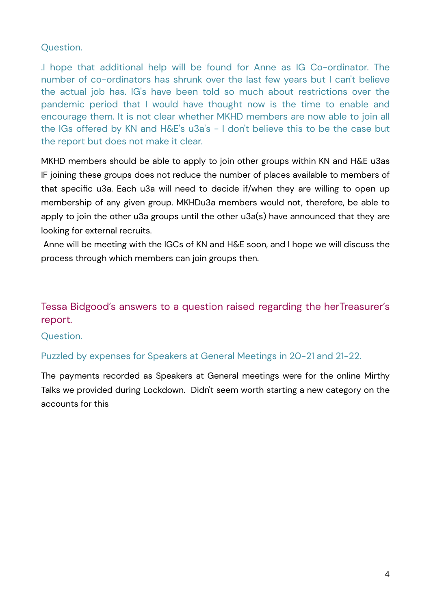## Question.

.I hope that additional help will be found for Anne as IG Co-ordinator. The number of co-ordinators has shrunk over the last few years but I can't believe the actual job has. IG's have been told so much about restrictions over the pandemic period that I would have thought now is the time to enable and encourage them. It is not clear whether MKHD members are now able to join all the IGs offered by KN and H&E's u3a's - I don't believe this to be the case but the report but does not make it clear.

MKHD members should be able to apply to join other groups within KN and H&E u3as IF joining these groups does not reduce the number of places available to members of that specific u3a. Each u3a will need to decide if/when they are willing to open up membership of any given group. MKHDu3a members would not, therefore, be able to apply to join the other u3a groups until the other u3a(s) have announced that they are looking for external recruits.

Anne will be meeting with the IGCs of KN and H&E soon, and I hope we will discuss the process through which members can join groups then.

# Tessa Bidgood's answers to a question raised regarding the herTreasurer's report.

### Question.

### Puzzled by expenses for Speakers at General Meetings in 20-21 and 21-22.

The payments recorded as Speakers at General meetings were for the online Mirthy Talks we provided during Lockdown. Didn't seem worth starting a new category on the accounts for this